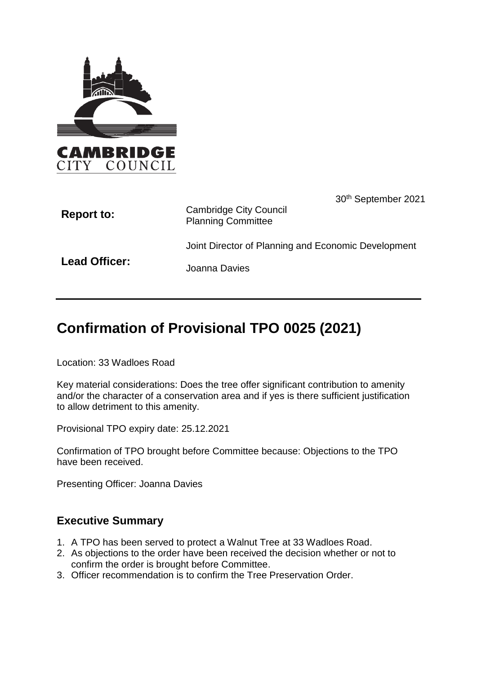

| <b>Report to:</b> | 30 <sup>th</sup> September 2021<br><b>Cambridge City Council</b><br><b>Planning Committee</b> |
|-------------------|-----------------------------------------------------------------------------------------------|
|                   | Joint Director of Planning and Economic Development                                           |
| Lead Officer:     | Joanna Davies                                                                                 |

# **Confirmation of Provisional TPO 0025 (2021)**

Location: 33 Wadloes Road

Key material considerations: Does the tree offer significant contribution to amenity and/or the character of a conservation area and if yes is there sufficient justification to allow detriment to this amenity.

Provisional TPO expiry date: 25.12.2021

Confirmation of TPO brought before Committee because: Objections to the TPO have been received.

Presenting Officer: Joanna Davies

## **Executive Summary**

- 1. A TPO has been served to protect a Walnut Tree at 33 Wadloes Road.
- 2. As objections to the order have been received the decision whether or not to confirm the order is brought before Committee.
- 3. Officer recommendation is to confirm the Tree Preservation Order.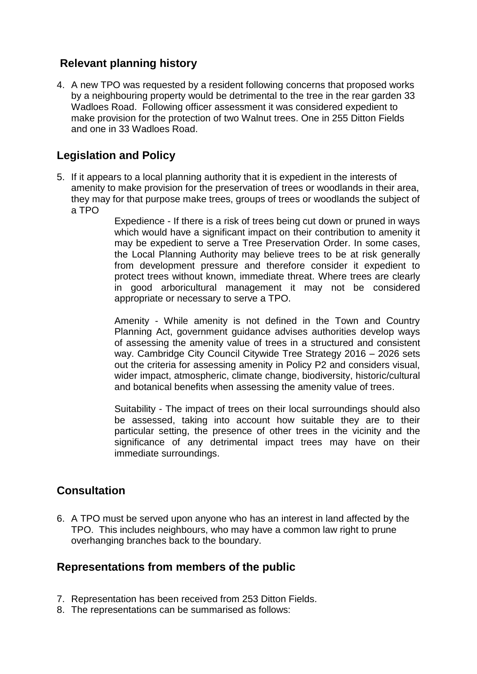## **Relevant planning history**

4. A new TPO was requested by a resident following concerns that proposed works by a neighbouring property would be detrimental to the tree in the rear garden 33 Wadloes Road. Following officer assessment it was considered expedient to make provision for the protection of two Walnut trees. One in 255 Ditton Fields and one in 33 Wadloes Road.

## **Legislation and Policy**

5. If it appears to a local planning authority that it is expedient in the interests of amenity to make provision for the preservation of trees or woodlands in their area, they may for that purpose make trees, groups of trees or woodlands the subject of a TPO

Expedience - If there is a risk of trees being cut down or pruned in ways which would have a significant impact on their contribution to amenity it may be expedient to serve a Tree Preservation Order. In some cases, the Local Planning Authority may believe trees to be at risk generally from development pressure and therefore consider it expedient to protect trees without known, immediate threat. Where trees are clearly in good arboricultural management it may not be considered appropriate or necessary to serve a TPO.

Amenity - While amenity is not defined in the Town and Country Planning Act, government guidance advises authorities develop ways of assessing the amenity value of trees in a structured and consistent way. Cambridge City Council Citywide Tree Strategy 2016 – 2026 sets out the criteria for assessing amenity in Policy P2 and considers visual, wider impact, atmospheric, climate change, biodiversity, historic/cultural and botanical benefits when assessing the amenity value of trees.

Suitability - The impact of trees on their local surroundings should also be assessed, taking into account how suitable they are to their particular setting, the presence of other trees in the vicinity and the significance of any detrimental impact trees may have on their immediate surroundings.

## **Consultation**

6. A TPO must be served upon anyone who has an interest in land affected by the TPO. This includes neighbours, who may have a common law right to prune overhanging branches back to the boundary.

## **Representations from members of the public**

- 7. Representation has been received from 253 Ditton Fields.
- 8. The representations can be summarised as follows: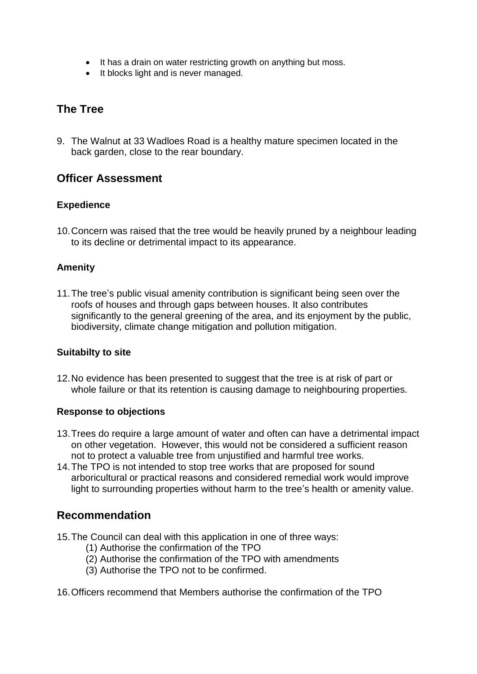- It has a drain on water restricting growth on anything but moss.
- It blocks light and is never managed.

## **The Tree**

9. The Walnut at 33 Wadloes Road is a healthy mature specimen located in the back garden, close to the rear boundary.

## **Officer Assessment**

#### **Expedience**

10.Concern was raised that the tree would be heavily pruned by a neighbour leading to its decline or detrimental impact to its appearance.

#### **Amenity**

11.The tree's public visual amenity contribution is significant being seen over the roofs of houses and through gaps between houses. It also contributes significantly to the general greening of the area, and its enjoyment by the public, biodiversity, climate change mitigation and pollution mitigation.

#### **Suitabilty to site**

12.No evidence has been presented to suggest that the tree is at risk of part or whole failure or that its retention is causing damage to neighbouring properties.

#### **Response to objections**

- 13.Trees do require a large amount of water and often can have a detrimental impact on other vegetation. However, this would not be considered a sufficient reason not to protect a valuable tree from unjustified and harmful tree works.
- 14.The TPO is not intended to stop tree works that are proposed for sound arboricultural or practical reasons and considered remedial work would improve light to surrounding properties without harm to the tree's health or amenity value.

## **Recommendation**

- 15.The Council can deal with this application in one of three ways:
	- (1) Authorise the confirmation of the TPO
	- (2) Authorise the confirmation of the TPO with amendments
	- (3) Authorise the TPO not to be confirmed.

16.Officers recommend that Members authorise the confirmation of the TPO